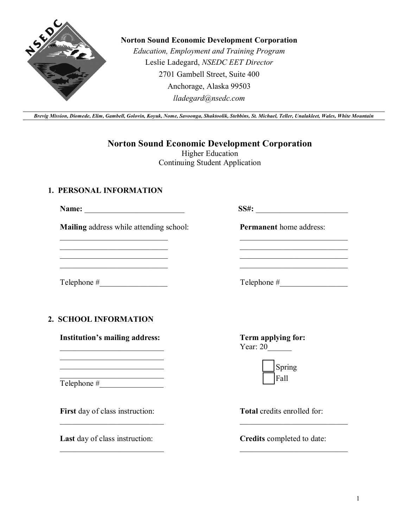

## **Norton Sound Economic Development Corporation**

*Education, Employment and Training Program* Leslie Ladegard, *NSEDC EET Director* 2701 Gambell Street, Suite 400 Anchorage, Alaska 99503 *lladegard@nsedc.com*

*Brevig Mission, Diomede, Elim, Gambell, Golovin, Koyuk, Nome, Savoonga, Shaktoolik, Stebbins, St. Michael, Teller, Unalakleet, Wales, White Mountain*

**Norton Sound Economic Development Corporation** 

Higher Education Continuing Student Application

## **1. PERSONAL INFORMATION**

**Name:** \_\_\_\_\_\_\_\_\_\_\_\_\_\_\_\_\_\_\_\_\_\_\_\_\_ **SS#:** \_\_\_\_\_\_\_\_\_\_\_\_\_\_\_\_\_\_\_\_\_\_\_

 $\mathcal{L}_\text{max}$  , where  $\mathcal{L}_\text{max}$  , we have the set of  $\mathcal{L}_\text{max}$ \_\_\_\_\_\_\_\_\_\_\_\_\_\_\_\_\_\_\_\_\_\_\_\_\_\_\_ \_\_\_\_\_\_\_\_\_\_\_\_\_\_\_\_\_\_\_\_\_\_\_\_\_\_\_ \_\_\_\_\_\_\_\_\_\_\_\_\_\_\_\_\_\_\_\_\_\_\_\_\_\_\_

**Mailing** address while attending school:

Telephone  $\#$ 

**2. SCHOOL INFORMATION**

**Institution's mailing address:** \_\_\_\_\_\_\_\_\_\_\_\_\_\_\_\_\_\_\_\_\_\_\_\_\_\_

 $\mathcal{L}_\text{max}$  , where  $\mathcal{L}_\text{max}$  and  $\mathcal{L}_\text{max}$  $\mathcal{L}_\text{max}$ 

\_\_\_\_\_\_\_\_\_\_\_\_\_\_\_\_\_\_\_\_\_\_\_\_\_\_ Telephone #

**First** day of class instruction:

 $\mathcal{L}_\text{max}$  , where  $\mathcal{L}_\text{max}$  and  $\mathcal{L}_\text{max}$ 

 $\mathcal{L}_\text{max}$  , where  $\mathcal{L}_\text{max}$  and  $\mathcal{L}_\text{max}$ 

**Last** day of class instruction:

**Term applying for:**  Year: 20\_\_\_\_\_\_

| Spring |
|--------|
| Fall   |

**Permanent** home address:

 $\mathcal{L}_\text{max}$  , where  $\mathcal{L}_\text{max}$  and  $\mathcal{L}_\text{max}$ \_\_\_\_\_\_\_\_\_\_\_\_\_\_\_\_\_\_\_\_\_\_\_\_\_\_\_  $\overline{\phantom{a}}$  , where  $\overline{\phantom{a}}$  , where  $\overline{\phantom{a}}$  , where  $\overline{\phantom{a}}$  ,  $\overline{\phantom{a}}$  ,  $\overline{\phantom{a}}$  ,  $\overline{\phantom{a}}$  ,  $\overline{\phantom{a}}$  ,  $\overline{\phantom{a}}$  ,  $\overline{\phantom{a}}$  ,  $\overline{\phantom{a}}$  ,  $\overline{\phantom{a}}$  ,  $\overline{\phantom{a}}$  ,  $\overline{\phantom{a}}$  ,  $\overline{\phantom$ \_\_\_\_\_\_\_\_\_\_\_\_\_\_\_\_\_\_\_\_\_\_\_\_\_\_\_

Telephone #\_\_\_\_\_\_\_\_\_\_\_\_\_\_\_\_\_

**Total** credits enrolled for:

**Credits** completed to date:

 $\mathcal{L}_\text{max}$  , where  $\mathcal{L}_\text{max}$  , we have the set of  $\mathcal{L}_\text{max}$ 

 $\mathcal{L}_\text{max}$  , where  $\mathcal{L}_\text{max}$  , we have the set of  $\mathcal{L}_\text{max}$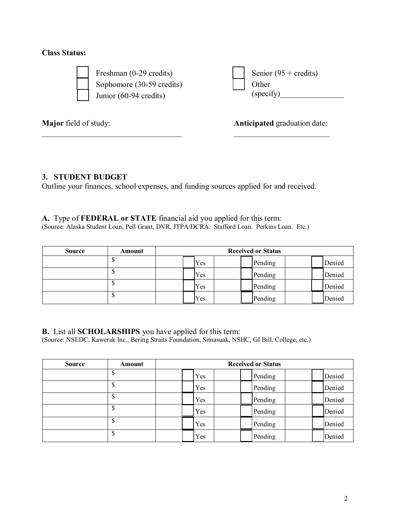## **Class Status:**



 Freshman (0-29 credits) Sophomore (30-59 credits) Junior (60-94 credits)

 $\_$  . The contract of the contract of the contract of  $\mathcal{L}_\mathcal{L}$ 

Senior  $(95 + \text{credits})$ **Other**  $(specify)$ 

**Major** field of study:

**Anticipated** graduation date:  $\overline{\phantom{a}}$  , which is a set of the set of the set of the set of the set of the set of the set of the set of the set of the set of the set of the set of the set of the set of the set of the set of the set of the set of th

# **3. STUDENT BUDGET**

Outline your finances, school expenses, and funding sources applied for and received.

**A.** Type of **FEDERAL or STATE** financial aid you applied for this term: (Source: Alaska Student Loan, Pell Grant, DVR, JTPA/DCRA. Stafford Loan. Perkins Loan. Etc.)

| <b>Source</b> | Amount |     | <b>Received or Status</b> |        |
|---------------|--------|-----|---------------------------|--------|
|               |        | Yes | Pending                   | Denied |
|               |        | Yes | Pending                   | Denied |
|               |        | Yes | Pending                   | Denied |
|               |        | Yes | Pending                   | Denied |

**B.** List all **SCHOLARSHIPS** you have applied for this term:

(Source: NSEDC, Kawerak Inc., Bering Straits Foundation, Sitnasuak, NSHC, GI Bill, College, etc.)

| <b>Source</b> | Amount | <b>Received or Status</b> |         |        |
|---------------|--------|---------------------------|---------|--------|
|               | D      | Yes                       | Pending | Denied |
|               | Φ      | Yes                       | Pending | Denied |
|               | Φ<br>D | Yes                       | Pending | Denied |
|               | S      | Yes                       | Pending | Denied |
|               | \$     | Yes                       | Pending | Denied |
|               | \$     | Yes                       | Pending | Denied |